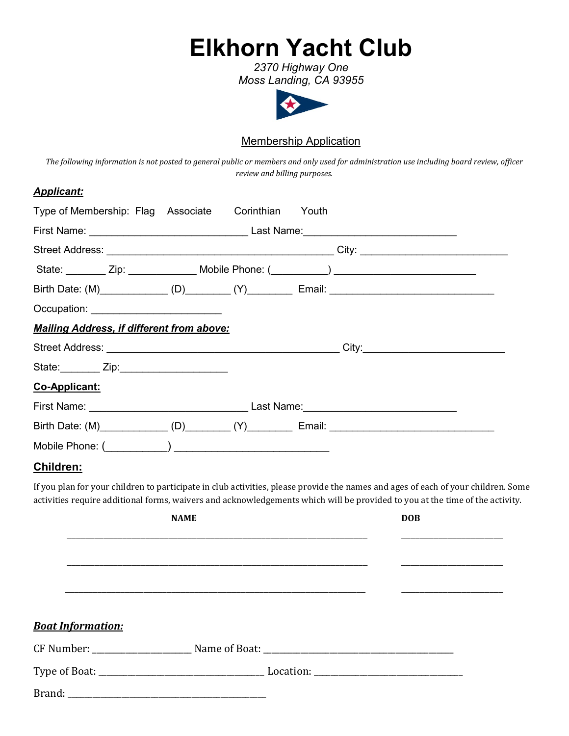# **Elkhorn Yacht Club**

*2370 Highway One Moss Landing, CA 93955*



# Membership Application

*The following information is not posted to general public or members and only used for administration use including board review, officer review and billing purposes.*

#### *Applicant:*

| Type of Membership: Flag Associate Corinthian    |             | Youth |                                                                                                                                                                                                                                                                   |
|--------------------------------------------------|-------------|-------|-------------------------------------------------------------------------------------------------------------------------------------------------------------------------------------------------------------------------------------------------------------------|
|                                                  |             |       |                                                                                                                                                                                                                                                                   |
|                                                  |             |       |                                                                                                                                                                                                                                                                   |
|                                                  |             |       |                                                                                                                                                                                                                                                                   |
|                                                  |             |       | Birth Date: (M)_____________(D)________(Y)__________ Email: _____________________                                                                                                                                                                                 |
| Occupation: ___________________________          |             |       |                                                                                                                                                                                                                                                                   |
| <b>Mailing Address, if different from above:</b> |             |       |                                                                                                                                                                                                                                                                   |
|                                                  |             |       |                                                                                                                                                                                                                                                                   |
| State: <u>University Zip:</u> 2014.              |             |       |                                                                                                                                                                                                                                                                   |
| Co-Applicant:                                    |             |       |                                                                                                                                                                                                                                                                   |
|                                                  |             |       |                                                                                                                                                                                                                                                                   |
|                                                  |             |       | Birth Date: (M)_____________(D)________(Y)__________ Email: _____________________                                                                                                                                                                                 |
|                                                  |             |       |                                                                                                                                                                                                                                                                   |
| Children:                                        |             |       |                                                                                                                                                                                                                                                                   |
|                                                  |             |       | If you plan for your children to participate in club activities, please provide the names and ages of each of your children. Some<br>activities require additional forms, waivers and acknowledgements which will be provided to you at the time of the activity. |
|                                                  | <b>NAME</b> |       | <b>DOB</b>                                                                                                                                                                                                                                                        |
|                                                  |             |       |                                                                                                                                                                                                                                                                   |
|                                                  |             |       |                                                                                                                                                                                                                                                                   |
|                                                  |             |       |                                                                                                                                                                                                                                                                   |
|                                                  |             |       |                                                                                                                                                                                                                                                                   |
|                                                  |             |       |                                                                                                                                                                                                                                                                   |

| <b>Boat Information:</b> |  |  |
|--------------------------|--|--|
| CF Number:               |  |  |
|                          |  |  |
|                          |  |  |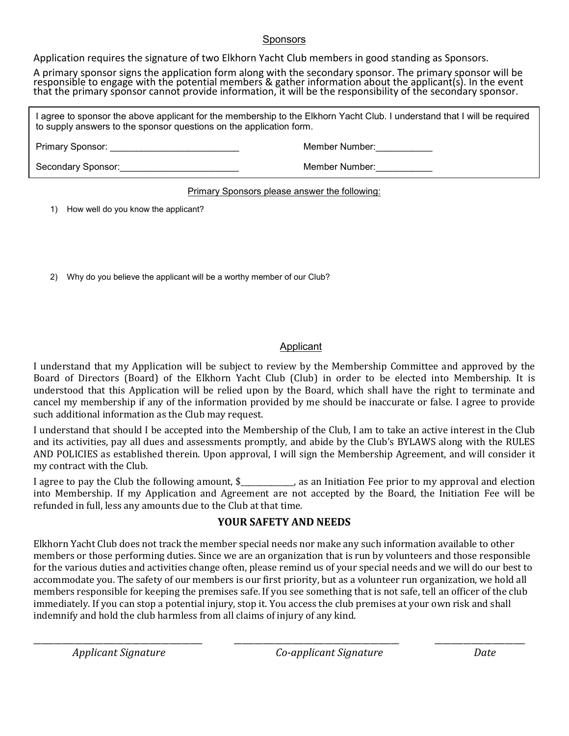#### Sponsors

Application requires the signature of two Elkhorn Yacht Club members in good standing as Sponsors.

A primary sponsor signs the application form along with the secondary sponsor. The primary sponsor will be responsible to engage with the potential members & gather information about the applicant(s). In the event that the primary sponsor cannot provide information, it will be the responsibility of the secondary sponsor.

I agree to sponsor the above applicant for the membership to the Elkhorn Yacht Club. I understand that I will be required to supply answers to the sponsor questions on the application form.

Primary Sponsor: \_\_\_\_\_\_\_\_\_\_\_\_\_\_\_\_\_\_\_\_\_\_\_\_\_ Member Number:\_\_\_\_\_\_\_\_\_\_\_

Secondary Sponsor:\_\_\_\_\_\_\_\_\_\_\_\_\_\_\_\_\_\_\_\_\_\_\_ Member Number:\_\_\_\_\_\_\_\_\_\_\_

#### Primary Sponsors please answer the following:

1) How well do you know the applicant?

2) Why do you believe the applicant will be a worthy member of our Club?

#### Applicant

I understand that my Application will be subject to review by the Membership Committee and approved by the Board of Directors (Board) of the Elkhorn Yacht Club (Club) in order to be elected into Membership. It is understood that this Application will be relied upon by the Board, which shall have the right to terminate and cancel my membership if any of the information provided by me should be inaccurate or false. I agree to provide such additional information as the Club may request.

I understand that should I be accepted into the Membership of the Club, I am to take an active interest in the Club and its activities, pay all dues and assessments promptly, and abide by the Club's BYLAWS along with the RULES AND POLICIES as established therein. Upon approval, I will sign the Membership Agreement, and will consider it my contract with the Club.

I agree to pay the Club the following amount,  $\frac{1}{2}$  as an Initiation Fee prior to my approval and election into Membership. If my Application and Agreement are not accepted by the Board, the Initiation Fee will be refunded in full, less any amounts due to the Club at that time.

## **YOUR SAFETY AND NEEDS**

Elkhorn Yacht Club does not track the member special needs nor make any such information available to other members or those performing duties. Since we are an organization that is run by volunteers and those responsible for the various duties and activities change often, please remind us of your special needs and we will do our best to accommodate you. The safety of our members is our first priority, but as a volunteer run organization, we hold all members responsible for keeping the premises safe. If you see something that is not safe, tell an officer of the club immediately. If you can stop a potential injury, stop it. You access the club premises at your own risk and shall indemnify and hold the club harmless from all claims of injury of any kind.

\_\_\_\_\_\_\_\_\_\_\_\_\_\_\_\_\_\_\_\_\_\_\_\_\_\_\_\_\_\_\_\_\_\_\_\_\_\_\_\_\_ \_\_\_\_\_\_\_\_\_\_\_\_\_\_\_\_\_\_\_\_\_\_\_\_\_\_\_\_\_\_\_\_\_\_\_\_\_\_\_\_ \_\_\_\_\_\_\_\_\_\_\_\_\_\_\_\_\_\_\_\_\_\_ *Applicant Signature Co-applicant Signature Date*